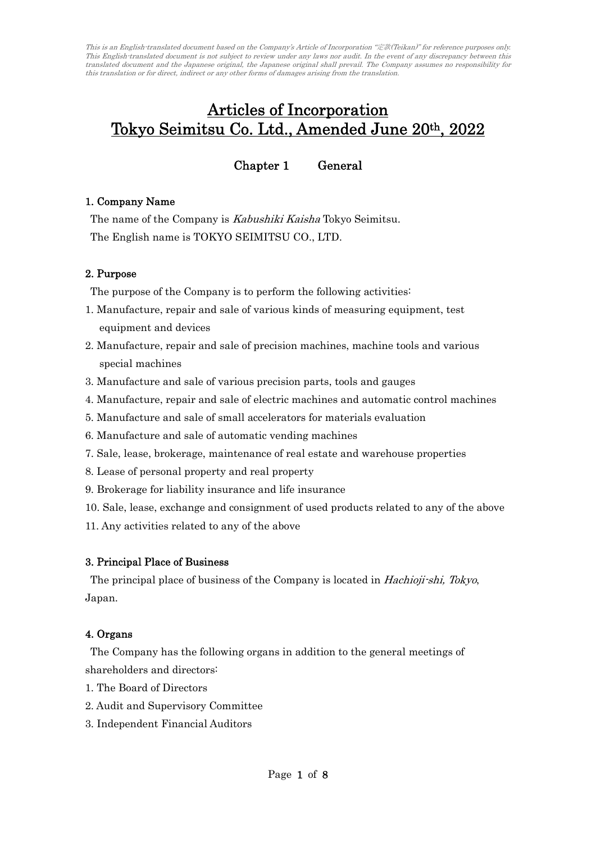# Articles of Incorporation Tokyo Seimitsu Co. Ltd., Amended June 20th, 2022

Chapter 1 General

## 1. Company Name

The name of the Company is Kabushiki Kaisha Tokyo Seimitsu. The English name is TOKYO SEIMITSU CO., LTD.

#### 2. Purpose

The purpose of the Company is to perform the following activities:

- 1. Manufacture, repair and sale of various kinds of measuring equipment, test equipment and devices
- 2. Manufacture, repair and sale of precision machines, machine tools and various special machines
- 3. Manufacture and sale of various precision parts, tools and gauges
- 4. Manufacture, repair and sale of electric machines and automatic control machines
- 5. Manufacture and sale of small accelerators for materials evaluation
- 6. Manufacture and sale of automatic vending machines
- 7. Sale, lease, brokerage, maintenance of real estate and warehouse properties
- 8. Lease of personal property and real property
- 9. Brokerage for liability insurance and life insurance
- 10. Sale, lease, exchange and consignment of used products related to any of the above
- 11. Any activities related to any of the above

# 3. Principal Place of Business

The principal place of business of the Company is located in *Hachioji-shi*, Tokyo, Japan.

#### 4. Organs

The Company has the following organs in addition to the general meetings of shareholders and directors:

- 1. The Board of Directors
- 2. Audit and Supervisory Committee
- 3. Independent Financial Auditors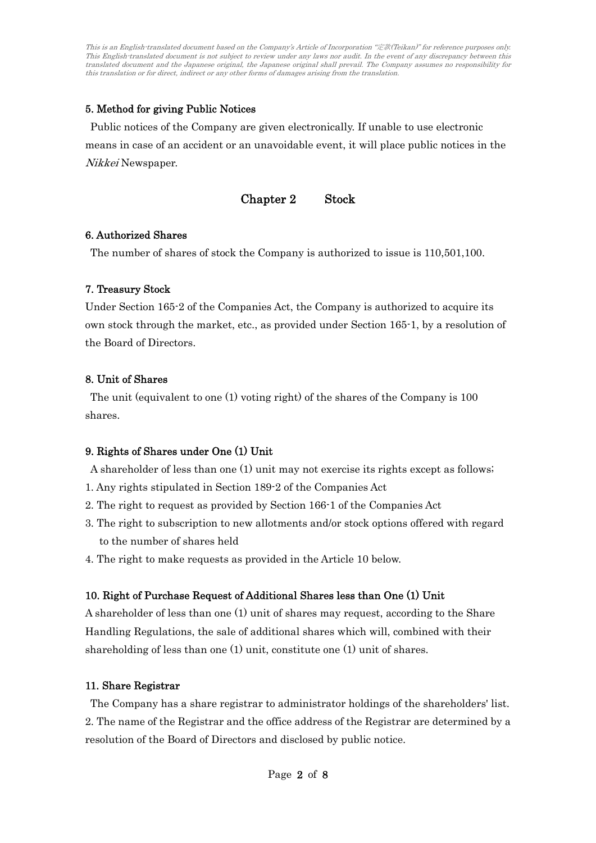# 5. Method for giving Public Notices

Public notices of the Company are given electronically. If unable to use electronic means in case of an accident or an unavoidable event, it will place public notices in the Nikkei Newspaper.

Chapter 2 Stock

## 6. Authorized Shares

The number of shares of stock the Company is authorized to issue is 110,501,100.

## 7. Treasury Stock

Under Section 165-2 of the Companies Act, the Company is authorized to acquire its own stock through the market, etc., as provided under Section 165-1, by a resolution of the Board of Directors.

## 8. Unit of Shares

The unit (equivalent to one (1) voting right) of the shares of the Company is 100 shares.

# 9. Rights of Shares under One (1) Unit

A shareholder of less than one (1) unit may not exercise its rights except as follows;

- 1. Any rights stipulated in Section 189-2 of the Companies Act
- 2. The right to request as provided by Section 166-1 of the Companies Act
- 3. The right to subscription to new allotments and/or stock options offered with regard to the number of shares held
- 4. The right to make requests as provided in the Article 10 below.

# 10. Right of Purchase Request of Additional Shares less than One (1) Unit

A shareholder of less than one (1) unit of shares may request, according to the Share Handling Regulations, the sale of additional shares which will, combined with their shareholding of less than one (1) unit, constitute one (1) unit of shares.

# 11. Share Registrar

The Company has a share registrar to administrator holdings of the shareholders' list. 2. The name of the Registrar and the office address of the Registrar are determined by a resolution of the Board of Directors and disclosed by public notice.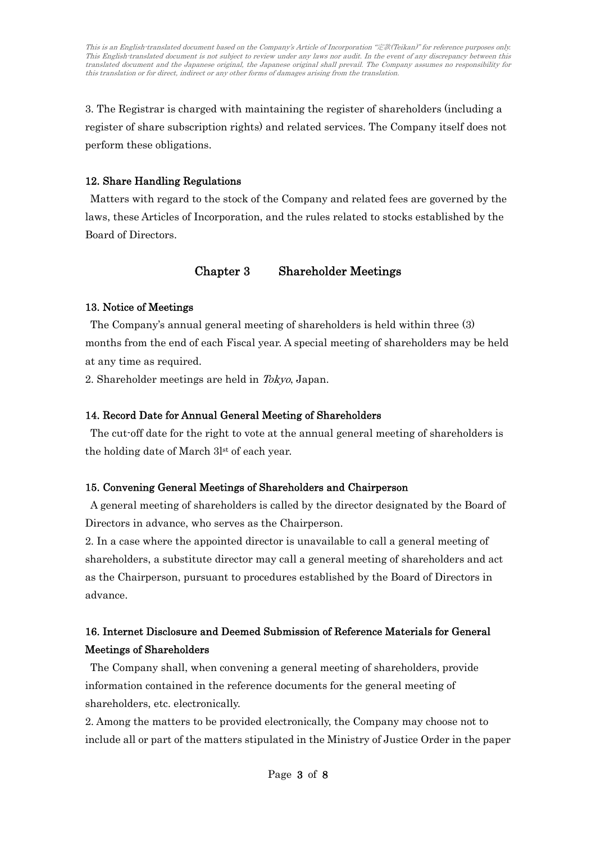3. The Registrar is charged with maintaining the register of shareholders (including a register of share subscription rights) and related services. The Company itself does not perform these obligations.

# 12. Share Handling Regulations

Matters with regard to the stock of the Company and related fees are governed by the laws, these Articles of Incorporation, and the rules related to stocks established by the Board of Directors.

# Chapter 3 Shareholder Meetings

## 13. Notice of Meetings

The Company's annual general meeting of shareholders is held within three (3) months from the end of each Fiscal year. A special meeting of shareholders may be held at any time as required.

2. Shareholder meetings are held in Tokyo, Japan.

# 14. Record Date for Annual General Meeting of Shareholders

The cut-off date for the right to vote at the annual general meeting of shareholders is the holding date of March 3lst of each year.

# 15. Convening General Meetings of Shareholders and Chairperson

A general meeting of shareholders is called by the director designated by the Board of Directors in advance, who serves as the Chairperson.

2. In a case where the appointed director is unavailable to call a general meeting of shareholders, a substitute director may call a general meeting of shareholders and act as the Chairperson, pursuant to procedures established by the Board of Directors in advance.

# 16. Internet Disclosure and Deemed Submission of Reference Materials for General Meetings of Shareholders

The Company shall, when convening a general meeting of shareholders, provide information contained in the reference documents for the general meeting of shareholders, etc. electronically.

2. Among the matters to be provided electronically, the Company may choose not to include all or part of the matters stipulated in the Ministry of Justice Order in the paper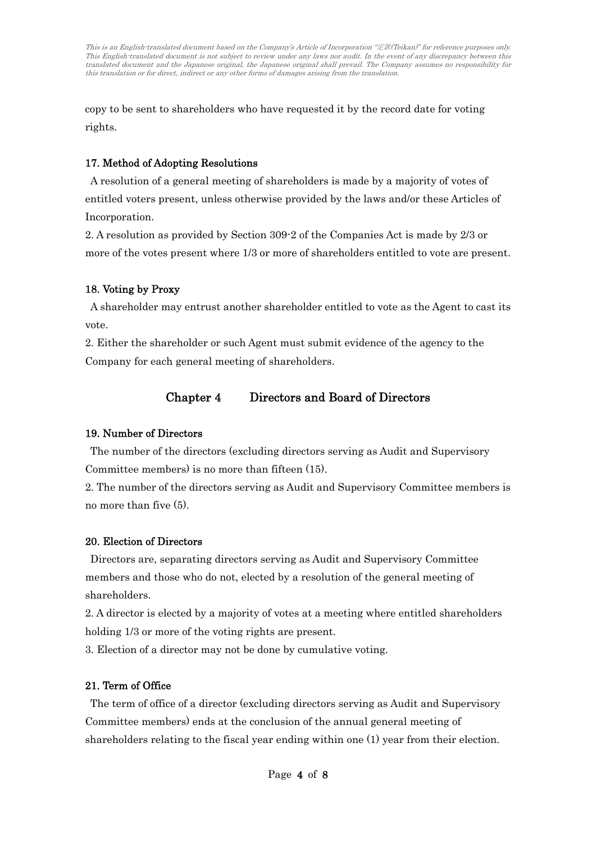copy to be sent to shareholders who have requested it by the record date for voting rights.

## 17. Method of Adopting Resolutions

A resolution of a general meeting of shareholders is made by a majority of votes of entitled voters present, unless otherwise provided by the laws and/or these Articles of Incorporation.

2. A resolution as provided by Section 309-2 of the Companies Act is made by 2/3 or more of the votes present where 1/3 or more of shareholders entitled to vote are present.

## 18. Voting by Proxy

A shareholder may entrust another shareholder entitled to vote as the Agent to cast its vote.

2. Either the shareholder or such Agent must submit evidence of the agency to the Company for each general meeting of shareholders.

# Chapter 4 Directors and Board of Directors

#### 19. Number of Directors

The number of the directors (excluding directors serving as Audit and Supervisory Committee members) is no more than fifteen (15).

2. The number of the directors serving as Audit and Supervisory Committee members is no more than five (5).

#### 20. Election of Directors

Directors are, separating directors serving as Audit and Supervisory Committee members and those who do not, elected by a resolution of the general meeting of shareholders.

2. A director is elected by a majority of votes at a meeting where entitled shareholders holding  $1/3$  or more of the voting rights are present.

3. Election of a director may not be done by cumulative voting.

#### 21. Term of Office

The term of office of a director (excluding directors serving as Audit and Supervisory Committee members) ends at the conclusion of the annual general meeting of shareholders relating to the fiscal year ending within one (1) year from their election.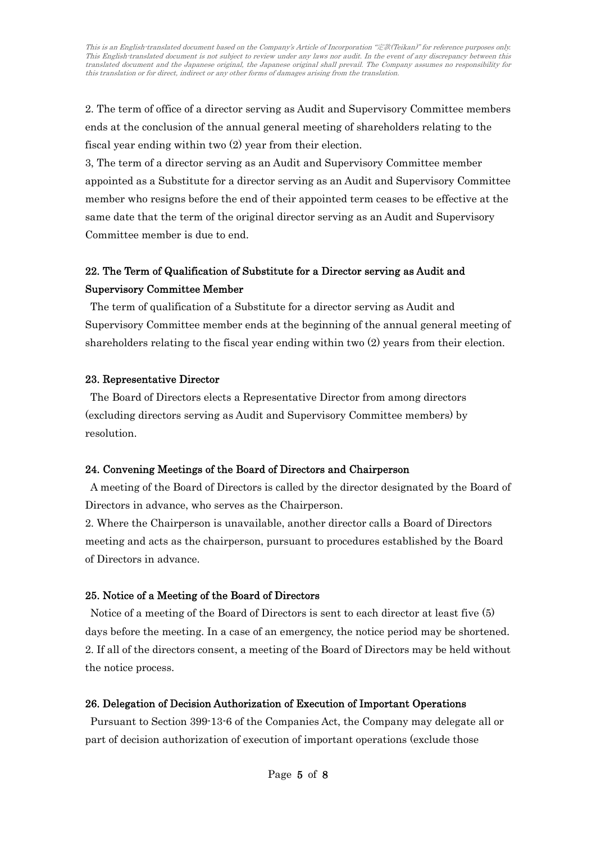2. The term of office of a director serving as Audit and Supervisory Committee members ends at the conclusion of the annual general meeting of shareholders relating to the fiscal year ending within two (2) year from their election.

3, The term of a director serving as an Audit and Supervisory Committee member appointed as a Substitute for a director serving as an Audit and Supervisory Committee member who resigns before the end of their appointed term ceases to be effective at the same date that the term of the original director serving as an Audit and Supervisory Committee member is due to end.

# 22. The Term of Qualification of Substitute for a Director serving as Audit and Supervisory Committee Member

The term of qualification of a Substitute for a director serving as Audit and Supervisory Committee member ends at the beginning of the annual general meeting of shareholders relating to the fiscal year ending within two (2) years from their election.

#### 23. Representative Director

The Board of Directors elects a Representative Director from among directors (excluding directors serving as Audit and Supervisory Committee members) by resolution.

# 24. Convening Meetings of the Board of Directors and Chairperson

A meeting of the Board of Directors is called by the director designated by the Board of Directors in advance, who serves as the Chairperson.

2. Where the Chairperson is unavailable, another director calls a Board of Directors meeting and acts as the chairperson, pursuant to procedures established by the Board of Directors in advance.

# 25. Notice of a Meeting of the Board of Directors

Notice of a meeting of the Board of Directors is sent to each director at least five (5) days before the meeting. In a case of an emergency, the notice period may be shortened. 2. If all of the directors consent, a meeting of the Board of Directors may be held without the notice process.

# 26. Delegation of Decision Authorization of Execution of Important Operations

Pursuant to Section 399-13-6 of the Companies Act, the Company may delegate all or part of decision authorization of execution of important operations (exclude those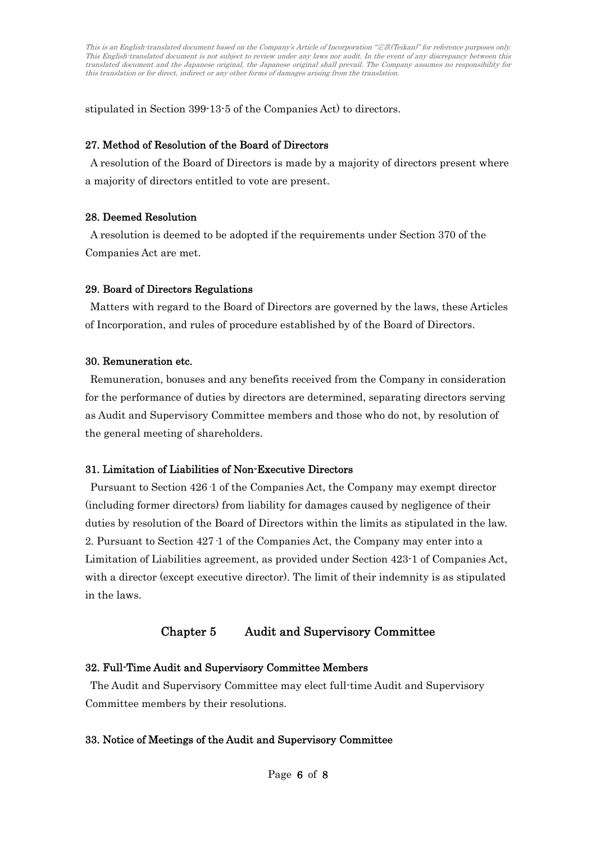stipulated in Section 399-13-5 of the Companies Act) to directors.

#### 27. Method of Resolution of the Board of Directors

A resolution of the Board of Directors is made by a majority of directors present where a majority of directors entitled to vote are present.

#### 28. Deemed Resolution

A resolution is deemed to be adopted if the requirements under Section 370 of the Companies Act are met.

#### 29. Board of Directors Regulations

Matters with regard to the Board of Directors are governed by the laws, these Articles of Incorporation, and rules of procedure established by of the Board of Directors.

#### 30. Remuneration etc.

Remuneration, bonuses and any benefits received from the Company in consideration for the performance of duties by directors are determined, separating directors serving as Audit and Supervisory Committee members and those who do not, by resolution of the general meeting of shareholders.

#### 31. Limitation of Liabilities of Non-Executive Directors

Pursuant to Section 426·1 of the Companies Act, the Company may exempt director (including former directors) from liability for damages caused by negligence of their duties by resolution of the Board of Directors within the limits as stipulated in the law. 2. Pursuant to Section 427·1 of the Companies Act, the Company may enter into a Limitation of Liabilities agreement, as provided under Section 423-1 of Companies Act, with a director (except executive director). The limit of their indemnity is as stipulated in the laws.

# Chapter 5 Audit and Supervisory Committee

#### 32. Full-Time Audit and Supervisory Committee Members

The Audit and Supervisory Committee may elect full-time Audit and Supervisory Committee members by their resolutions.

#### 33. Notice of Meetings of the Audit and Supervisory Committee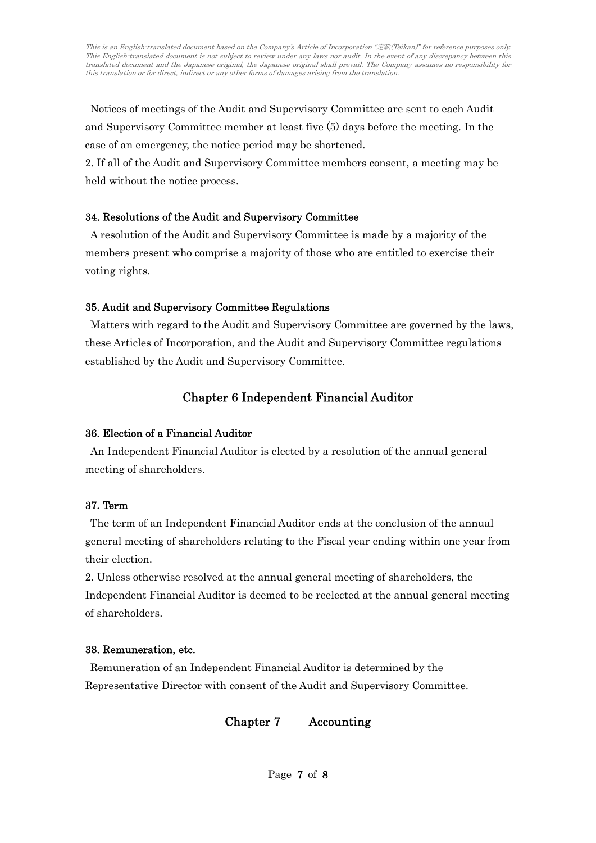Notices of meetings of the Audit and Supervisory Committee are sent to each Audit and Supervisory Committee member at least five (5) days before the meeting. In the case of an emergency, the notice period may be shortened.

2. If all of the Audit and Supervisory Committee members consent, a meeting may be held without the notice process.

## 34. Resolutions of the Audit and Supervisory Committee

A resolution of the Audit and Supervisory Committee is made by a majority of the members present who comprise a majority of those who are entitled to exercise their voting rights.

## 35. Audit and Supervisory Committee Regulations

Matters with regard to the Audit and Supervisory Committee are governed by the laws, these Articles of Incorporation, and the Audit and Supervisory Committee regulations established by the Audit and Supervisory Committee.

# Chapter 6 Independent Financial Auditor

# 36. Election of a Financial Auditor

An Independent Financial Auditor is elected by a resolution of the annual general meeting of shareholders.

#### 37. Term

The term of an Independent Financial Auditor ends at the conclusion of the annual general meeting of shareholders relating to the Fiscal year ending within one year from their election.

2. Unless otherwise resolved at the annual general meeting of shareholders, the Independent Financial Auditor is deemed to be reelected at the annual general meeting of shareholders.

# 38. Remuneration, etc.

Remuneration of an Independent Financial Auditor is determined by the Representative Director with consent of the Audit and Supervisory Committee.

Chapter 7 Accounting